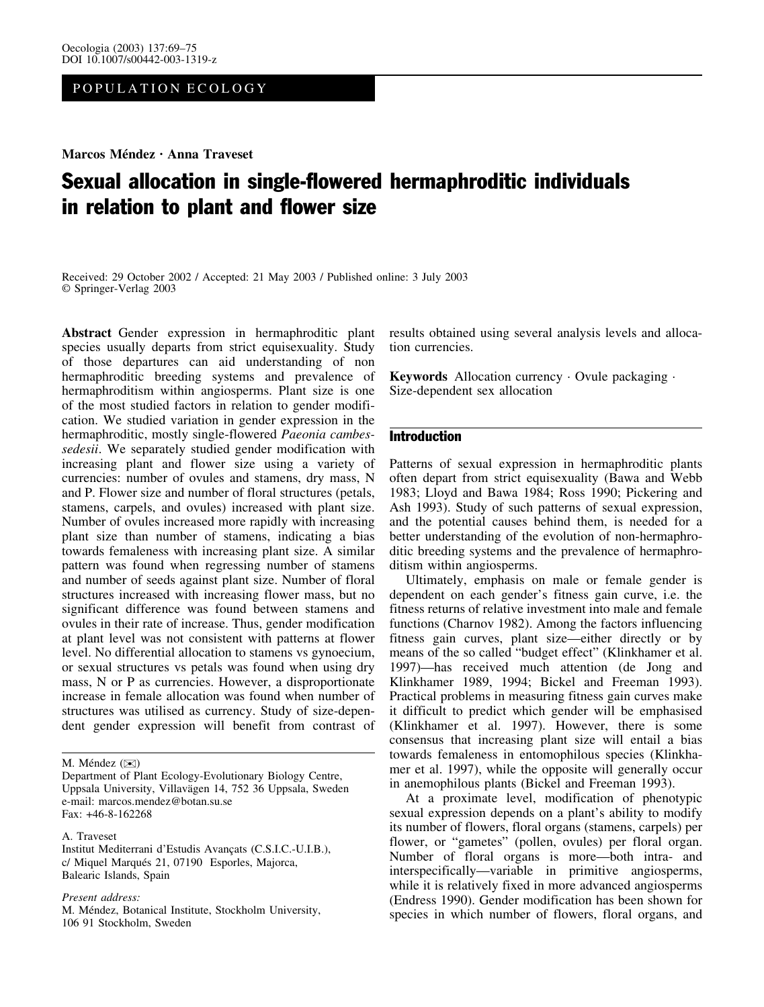POPULATION ECOLOGY

Marcos Méndez · Anna Traveset

# Sexual allocation in single-flowered hermaphroditic individuals in relation to plant and flower size

Received: 29 October 2002 / Accepted: 21 May 2003 / Published online: 3 July 2003 Springer-Verlag 2003

Abstract Gender expression in hermaphroditic plant species usually departs from strict equisexuality. Study of those departures can aid understanding of non hermaphroditic breeding systems and prevalence of hermaphroditism within angiosperms. Plant size is one of the most studied factors in relation to gender modification. We studied variation in gender expression in the hermaphroditic, mostly single-flowered Paeonia cambessedesii. We separately studied gender modification with increasing plant and flower size using a variety of currencies: number of ovules and stamens, dry mass, N and P. Flower size and number of floral structures (petals, stamens, carpels, and ovules) increased with plant size. Number of ovules increased more rapidly with increasing plant size than number of stamens, indicating a bias towards femaleness with increasing plant size. A similar pattern was found when regressing number of stamens and number of seeds against plant size. Number of floral structures increased with increasing flower mass, but no significant difference was found between stamens and ovules in their rate of increase. Thus, gender modification at plant level was not consistent with patterns at flower level. No differential allocation to stamens vs gynoecium, or sexual structures vs petals was found when using dry mass, N or P as currencies. However, a disproportionate increase in female allocation was found when number of structures was utilised as currency. Study of size-dependent gender expression will benefit from contrast of

M. Méndez ( $\otimes$ )

A. Traveset

Institut Mediterrani d'Estudis Avançats (C.S.I.C.-U.I.B.), c/ Miquel Marqués 21, 07190 Esporles, Majorca, Balearic Islands, Spain

#### Present address:

M. Méndez, Botanical Institute, Stockholm University, 106 91 Stockholm, Sweden

results obtained using several analysis levels and allocation currencies.

Keywords Allocation currency · Ovule packaging · Size-dependent sex allocation

# Introduction

Patterns of sexual expression in hermaphroditic plants often depart from strict equisexuality (Bawa and Webb 1983; Lloyd and Bawa 1984; Ross 1990; Pickering and Ash 1993). Study of such patterns of sexual expression, and the potential causes behind them, is needed for a better understanding of the evolution of non-hermaphroditic breeding systems and the prevalence of hermaphroditism within angiosperms.

Ultimately, emphasis on male or female gender is dependent on each gender's fitness gain curve, i.e. the fitness returns of relative investment into male and female functions (Charnov 1982). Among the factors influencing fitness gain curves, plant size—either directly or by means of the so called "budget effect" (Klinkhamer et al. 1997)—has received much attention (de Jong and Klinkhamer 1989, 1994; Bickel and Freeman 1993). Practical problems in measuring fitness gain curves make it difficult to predict which gender will be emphasised (Klinkhamer et al. 1997). However, there is some consensus that increasing plant size will entail a bias towards femaleness in entomophilous species (Klinkhamer et al. 1997), while the opposite will generally occur in anemophilous plants (Bickel and Freeman 1993).

At a proximate level, modification of phenotypic sexual expression depends on a plant's ability to modify its number of flowers, floral organs (stamens, carpels) per flower, or "gametes" (pollen, ovules) per floral organ. Number of floral organs is more—both intra- and interspecifically—variable in primitive angiosperms, while it is relatively fixed in more advanced angiosperms (Endress 1990). Gender modification has been shown for species in which number of flowers, floral organs, and

Department of Plant Ecology-Evolutionary Biology Centre, Uppsala University, Villavägen 14, 752 36 Uppsala, Sweden e-mail: marcos.mendez@botan.su.se Fax: +46-8-162268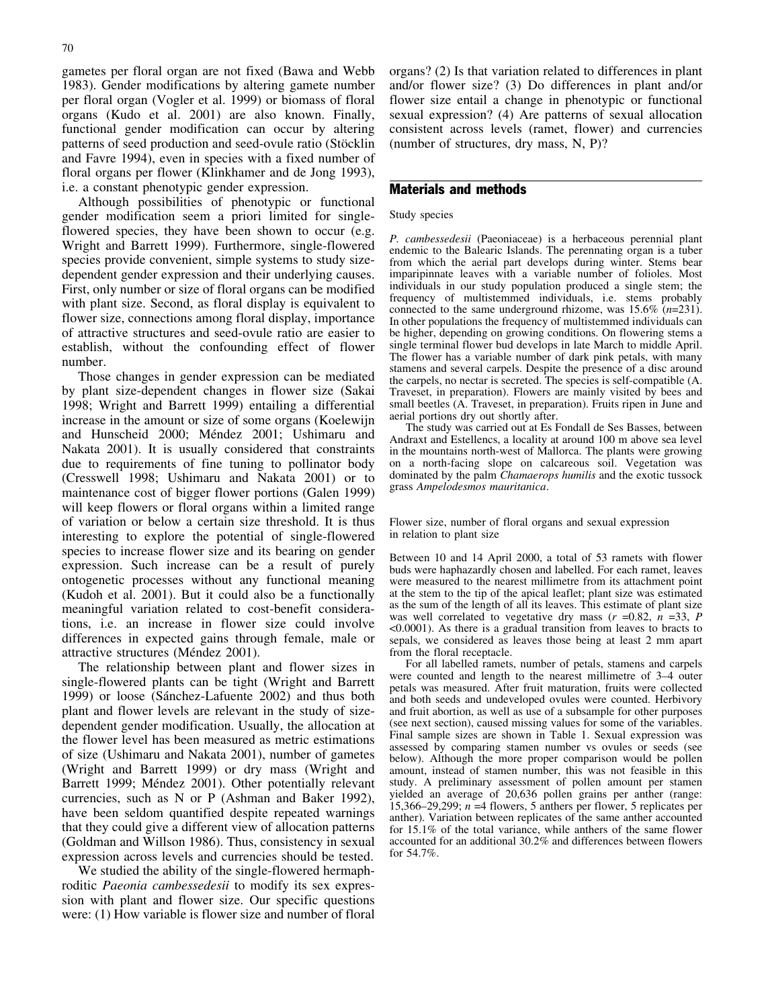gametes per floral organ are not fixed (Bawa and Webb 1983). Gender modifications by altering gamete number per floral organ (Vogler et al. 1999) or biomass of floral organs (Kudo et al. 2001) are also known. Finally, functional gender modification can occur by altering patterns of seed production and seed-ovule ratio (Stöcklin and Favre 1994), even in species with a fixed number of floral organs per flower (Klinkhamer and de Jong 1993), i.e. a constant phenotypic gender expression.

Although possibilities of phenotypic or functional gender modification seem a priori limited for singleflowered species, they have been shown to occur (e.g. Wright and Barrett 1999). Furthermore, single-flowered species provide convenient, simple systems to study sizedependent gender expression and their underlying causes. First, only number or size of floral organs can be modified with plant size. Second, as floral display is equivalent to flower size, connections among floral display, importance of attractive structures and seed-ovule ratio are easier to establish, without the confounding effect of flower number.

Those changes in gender expression can be mediated by plant size-dependent changes in flower size (Sakai 1998; Wright and Barrett 1999) entailing a differential increase in the amount or size of some organs (Koelewijn and Hunscheid 2000; Méndez 2001; Ushimaru and Nakata 2001). It is usually considered that constraints due to requirements of fine tuning to pollinator body (Cresswell 1998; Ushimaru and Nakata 2001) or to maintenance cost of bigger flower portions (Galen 1999) will keep flowers or floral organs within a limited range of variation or below a certain size threshold. It is thus interesting to explore the potential of single-flowered species to increase flower size and its bearing on gender expression. Such increase can be a result of purely ontogenetic processes without any functional meaning (Kudoh et al. 2001). But it could also be a functionally meaningful variation related to cost-benefit considerations, i.e. an increase in flower size could involve differences in expected gains through female, male or attractive structures (Méndez 2001).

The relationship between plant and flower sizes in single-flowered plants can be tight (Wright and Barrett 1999) or loose (Sánchez-Lafuente 2002) and thus both plant and flower levels are relevant in the study of sizedependent gender modification. Usually, the allocation at the flower level has been measured as metric estimations of size (Ushimaru and Nakata 2001), number of gametes (Wright and Barrett 1999) or dry mass (Wright and Barrett 1999; Méndez 2001). Other potentially relevant currencies, such as N or P (Ashman and Baker 1992), have been seldom quantified despite repeated warnings that they could give a different view of allocation patterns (Goldman and Willson 1986). Thus, consistency in sexual expression across levels and currencies should be tested.

We studied the ability of the single-flowered hermaphroditic Paeonia cambessedesii to modify its sex expression with plant and flower size. Our specific questions were: (1) How variable is flower size and number of floral organs? (2) Is that variation related to differences in plant and/or flower size? (3) Do differences in plant and/or flower size entail a change in phenotypic or functional sexual expression? (4) Are patterns of sexual allocation consistent across levels (ramet, flower) and currencies (number of structures, dry mass, N, P)?

## Materials and methods

Study species

P. cambessedesii (Paeoniaceae) is a herbaceous perennial plant endemic to the Balearic Islands. The perennating organ is a tuber from which the aerial part develops during winter. Stems bear imparipinnate leaves with a variable number of folioles. Most individuals in our study population produced a single stem; the frequency of multistemmed individuals, i.e. stems probably connected to the same underground rhizome, was  $15.6\%$  (n=231). In other populations the frequency of multistemmed individuals can be higher, depending on growing conditions. On flowering stems a single terminal flower bud develops in late March to middle April. The flower has a variable number of dark pink petals, with many stamens and several carpels. Despite the presence of a disc around the carpels, no nectar is secreted. The species is self-compatible (A. Traveset, in preparation). Flowers are mainly visited by bees and small beetles (A. Traveset, in preparation). Fruits ripen in June and aerial portions dry out shortly after.

The study was carried out at Es Fondall de Ses Basses, between Andraxt and Estellencs, a locality at around 100 m above sea level in the mountains north-west of Mallorca. The plants were growing on a north-facing slope on calcareous soil. Vegetation was dominated by the palm Chamaerops humilis and the exotic tussock grass Ampelodesmos mauritanica.

Flower size, number of floral organs and sexual expression in relation to plant size

Between 10 and 14 April 2000, a total of 53 ramets with flower buds were haphazardly chosen and labelled. For each ramet, leaves were measured to the nearest millimetre from its attachment point at the stem to the tip of the apical leaflet; plant size was estimated as the sum of the length of all its leaves. This estimate of plant size was well correlated to vegetative dry mass  $(r = 0.82, n = 33, P)$ <0.0001). As there is a gradual transition from leaves to bracts to sepals, we considered as leaves those being at least 2 mm apart from the floral receptacle.

For all labelled ramets, number of petals, stamens and carpels were counted and length to the nearest millimetre of 3–4 outer petals was measured. After fruit maturation, fruits were collected and both seeds and undeveloped ovules were counted. Herbivory and fruit abortion, as well as use of a subsample for other purposes (see next section), caused missing values for some of the variables. Final sample sizes are shown in Table 1. Sexual expression was assessed by comparing stamen number vs ovules or seeds (see below). Although the more proper comparison would be pollen amount, instead of stamen number, this was not feasible in this study. A preliminary assessment of pollen amount per stamen yielded an average of 20,636 pollen grains per anther (range: 15,366–29,299;  $n = 4$  flowers, 5 anthers per flower, 5 replicates per anther). Variation between replicates of the same anther accounted for 15.1% of the total variance, while anthers of the same flower accounted for an additional 30.2% and differences between flowers for 54.7%.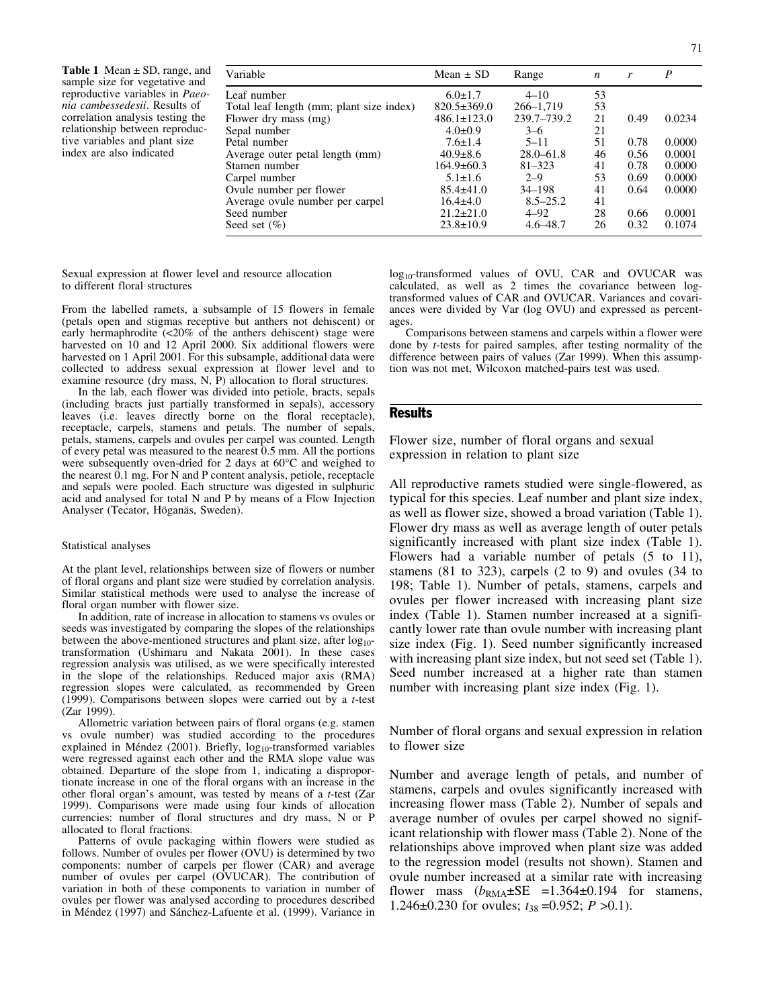**Table 1** Mean  $\pm$  SD, range, and sample size for vegetative and reproductive variables in Paeonia cambessedesii. Results of correlation analysis testing the relationship between reproductive variables and plant size index are also indicated

| Variable                                 | Mean $\pm$ SD     | Range         | n  | r    | P      |
|------------------------------------------|-------------------|---------------|----|------|--------|
| Leaf number                              | $6.0 \pm 1.7$     | $4 - 10$      | 53 |      |        |
| Total leaf length (mm; plant size index) | $820.5 \pm 369.0$ | 266-1,719     | 53 |      |        |
| Flower dry mass (mg)                     | $486.1 \pm 123.0$ | 239.7-739.2   | 21 | 0.49 | 0.0234 |
| Sepal number                             | $4.0 \pm 0.9$     | $3-6$         | 21 |      |        |
| Petal number                             | $7.6 \pm 1.4$     | $5 - 11$      | 51 | 0.78 | 0.0000 |
| Average outer petal length (mm)          | $40.9 \pm 8.6$    | $28.0 - 61.8$ | 46 | 0.56 | 0.0001 |
| Stamen number                            | $164.9 \pm 60.3$  | $81 - 323$    | 41 | 0.78 | 0.0000 |
| Carpel number                            | $5.1 \pm 1.6$     | $2 - 9$       | 53 | 0.69 | 0.0000 |
| Ovule number per flower                  | $85.4 \pm 41.0$   | $34 - 198$    | 41 | 0.64 | 0.0000 |
| Average ovule number per carpel          | $16.4 \pm 4.0$    | $8.5 - 25.2$  | 41 |      |        |
| Seed number                              | $21.2 \pm 21.0$   | $4 - 92$      | 28 | 0.66 | 0.0001 |
| Seed set $(\% )$                         | $23.8 \pm 10.9$   | $4.6 - 48.7$  | 26 | 0.32 | 0.1074 |

Sexual expression at flower level and resource allocation to different floral structures

From the labelled ramets, a subsample of 15 flowers in female (petals open and stigmas receptive but anthers not dehiscent) or early hermaphrodite (<20% of the anthers dehiscent) stage were harvested on 10 and 12 April 2000. Six additional flowers were harvested on 1 April 2001. For this subsample, additional data were collected to address sexual expression at flower level and to examine resource (dry mass, N, P) allocation to floral structures.

In the lab, each flower was divided into petiole, bracts, sepals (including bracts just partially transformed in sepals), accessory leaves (i.e. leaves directly borne on the floral receptacle), receptacle, carpels, stamens and petals. The number of sepals, petals, stamens, carpels and ovules per carpel was counted. Length of every petal was measured to the nearest 0.5 mm. All the portions were subsequently oven-dried for 2 days at  $60^{\circ}$ C and weighed to the nearest 0.1 mg. For N and P content analysis, petiole, receptacle and sepals were pooled. Each structure was digested in sulphuric acid and analysed for total N and P by means of a Flow Injection Analyser (Tecator, Höganäs, Sweden).

#### Statistical analyses

At the plant level, relationships between size of flowers or number of floral organs and plant size were studied by correlation analysis. Similar statistical methods were used to analyse the increase of floral organ number with flower size.

In addition, rate of increase in allocation to stamens vs ovules or seeds was investigated by comparing the slopes of the relationships between the above-mentioned structures and plant size, after  $log_{10}$ transformation (Ushimaru and Nakata 2001). In these cases regression analysis was utilised, as we were specifically interested in the slope of the relationships. Reduced major axis (RMA) regression slopes were calculated, as recommended by Green (1999). Comparisons between slopes were carried out by a t-test (Zar 1999).

Allometric variation between pairs of floral organs (e.g. stamen vs ovule number) was studied according to the procedures explained in Méndez (2001). Briefly, log<sub>10</sub>-transformed variables were regressed against each other and the RMA slope value was obtained. Departure of the slope from 1, indicating a disproportionate increase in one of the floral organs with an increase in the other floral organ's amount, was tested by means of a t-test (Zar 1999). Comparisons were made using four kinds of allocation currencies: number of floral structures and dry mass, N or P allocated to floral fractions.

Patterns of ovule packaging within flowers were studied as follows. Number of ovules per flower (OVU) is determined by two components: number of carpels per flower (CAR) and average number of ovules per carpel (OVUCAR). The contribution of variation in both of these components to variation in number of ovules per flower was analysed according to procedures described in Méndez (1997) and Sánchez-Lafuente et al. (1999). Variance in

log<sub>10</sub>-transformed values of OVU, CAR and OVUCAR was calculated, as well as 2 times the covariance between logtransformed values of CAR and OVUCAR. Variances and covariances were divided by Var (log OVU) and expressed as percentages.

Comparisons between stamens and carpels within a flower were done by t-tests for paired samples, after testing normality of the difference between pairs of values (Zar 1999). When this assumption was not met, Wilcoxon matched-pairs test was used.

#### **Results**

Flower size, number of floral organs and sexual expression in relation to plant size

All reproductive ramets studied were single-flowered, as typical for this species. Leaf number and plant size index, as well as flower size, showed a broad variation (Table 1). Flower dry mass as well as average length of outer petals significantly increased with plant size index (Table 1). Flowers had a variable number of petals (5 to 11), stamens (81 to 323), carpels (2 to 9) and ovules (34 to 198; Table 1). Number of petals, stamens, carpels and ovules per flower increased with increasing plant size index (Table 1). Stamen number increased at a significantly lower rate than ovule number with increasing plant size index (Fig. 1). Seed number significantly increased with increasing plant size index, but not seed set (Table 1). Seed number increased at a higher rate than stamen number with increasing plant size index (Fig. 1).

Number of floral organs and sexual expression in relation to flower size

Number and average length of petals, and number of stamens, carpels and ovules significantly increased with increasing flower mass (Table 2). Number of sepals and average number of ovules per carpel showed no significant relationship with flower mass (Table 2). None of the relationships above improved when plant size was added to the regression model (results not shown). Stamen and ovule number increased at a similar rate with increasing flower mass  $(b_{\text{RMA}} \pm \text{SE} = 1.364 \pm 0.194$  for stamens, 1.246 $\pm$ 0.230 for ovules;  $t_{38}$  =0.952; P >0.1).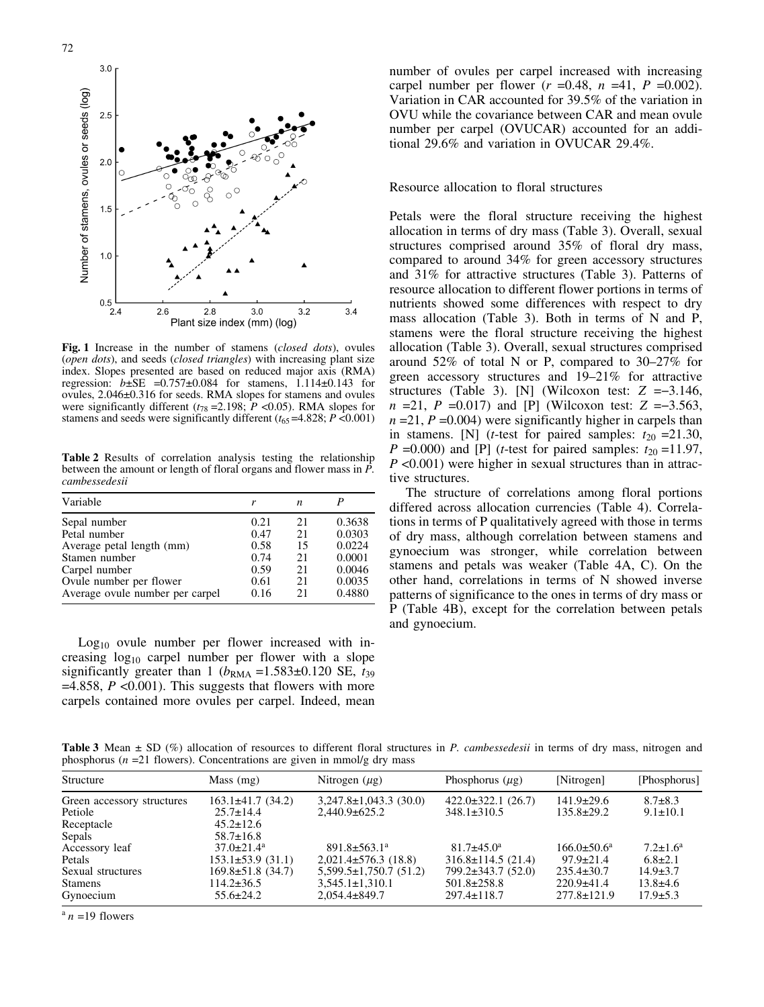

Fig. 1 Increase in the number of stamens (closed dots), ovules (open dots), and seeds (closed triangles) with increasing plant size index. Slopes presented are based on reduced major axis (RMA) regression:  $b\pm SE$  =0.757 $\pm$ 0.084 for stamens, 1.114 $\pm$ 0.143 for ovules, 2.046±0.316 for seeds. RMA slopes for stamens and ovules were significantly different ( $t_{78}$  =2.198;  $\hat{P}$  <0.05). RMA slopes for stamens and seeds were significantly different ( $t_{65}$ =4.828; P <0.001)

Table 2 Results of correlation analysis testing the relationship between the amount or length of floral organs and flower mass in  $\hat{P}$ . cambessedesii

| Variable                        |      | n  |        |
|---------------------------------|------|----|--------|
| Sepal number                    | 0.21 | 21 | 0.3638 |
| Petal number                    | 0.47 | 21 | 0.0303 |
| Average petal length (mm)       | 0.58 | 15 | 0.0224 |
| Stamen number                   | 0.74 | 21 | 0.0001 |
| Carpel number                   | 0.59 | 21 | 0.0046 |
| Ovule number per flower         | 0.61 | 21 | 0.0035 |
| Average ovule number per carpel | 0.16 | 21 | 0.4880 |

Log<sub>10</sub> ovule number per flower increased with increasing  $log_{10}$  carpel number per flower with a slope significantly greater than 1 ( $b_{\text{RMA}} = 1.583 \pm 0.120$  SE,  $t_{39}$  $=4.858, P \leq 0.001$ . This suggests that flowers with more carpels contained more ovules per carpel. Indeed, mean

number of ovules per carpel increased with increasing carpel number per flower  $(r = 0.48, n = 41, P = 0.002)$ . Variation in CAR accounted for 39.5% of the variation in OVU while the covariance between CAR and mean ovule number per carpel (OVUCAR) accounted for an additional 29.6% and variation in OVUCAR 29.4%.

#### Resource allocation to floral structures

Petals were the floral structure receiving the highest allocation in terms of dry mass (Table 3). Overall, sexual structures comprised around 35% of floral dry mass, compared to around 34% for green accessory structures and 31% for attractive structures (Table 3). Patterns of resource allocation to different flower portions in terms of nutrients showed some differences with respect to dry mass allocation (Table 3). Both in terms of N and P, stamens were the floral structure receiving the highest allocation (Table 3). Overall, sexual structures comprised around 52% of total N or P, compared to 30–27% for green accessory structures and 19–21% for attractive structures (Table 3). [N] (Wilcoxon test:  $Z = -3.146$ ,  $n = 21$ ,  $P = 0.017$  and [P] (Wilcoxon test:  $Z = -3.563$ ,  $n = 21$ ,  $P = 0.004$ ) were significantly higher in carpels than in stamens. [N] (*t*-test for paired samples:  $t_{20} = 21.30$ ,  $P = 0.000$ ) and [P] (*t*-test for paired samples:  $t_{20} = 11.97$ ,  $P \leq 0.001$ ) were higher in sexual structures than in attractive structures.

The structure of correlations among floral portions differed across allocation currencies (Table 4). Correlations in terms of P qualitatively agreed with those in terms of dry mass, although correlation between stamens and gynoecium was stronger, while correlation between stamens and petals was weaker (Table 4A, C). On the other hand, correlations in terms of N showed inverse patterns of significance to the ones in terms of dry mass or P (Table 4B), except for the correlation between petals and gynoecium.

**Table 3** Mean  $\pm$  SD (%) allocation of resources to different floral structures in P. cambessedesii in terms of dry mass, nitrogen and phosphorus ( $n = 21$  flowers). Concentrations are given in mmol/g dry mass

| Structure                             | Mass (mg)                               | Nitrogen $(\mu$ g)                                  | Phosphorus $(\mu g)$                          | [Nitrogen]                           | [Phosphorus]                  |
|---------------------------------------|-----------------------------------------|-----------------------------------------------------|-----------------------------------------------|--------------------------------------|-------------------------------|
| Green accessory structures<br>Petiole | $163.1\pm41.7(34.2)$<br>$25.7 \pm 14.4$ | $3,247.8 \pm 1,043.3$ (30.0)<br>$2,440.9 \pm 625.2$ | $422.0 \pm 322.1$ (26.7)<br>$348.1 \pm 310.5$ | $141.9 \pm 29.6$<br>$135.8 \pm 29.2$ | $8.7\pm8.3$<br>$9.1 \pm 10.1$ |
| Receptacle                            | $45.2 \pm 12.6$                         |                                                     |                                               |                                      |                               |
| Sepals                                | $58.7 \pm 16.8$                         |                                                     |                                               |                                      |                               |
| Accessory leaf                        | $37.0 \pm 21.4^a$                       | $891.8 \pm 563.1^a$                                 | $81.7 \pm 45.0^a$                             | $166.0 \pm 50.6^a$                   | $7.2 \pm 1.6^a$               |
| Petals                                | $153.1 \pm 53.9$ (31.1)                 | $2,021.4 \pm 576.3$ (18.8)                          | $316.8 \pm 114.5$ (21.4)                      | $97.9 \pm 21.4$                      | $6.8{\pm}2.1$                 |
| Sexual structures                     | $169.8 \pm 51.8$ (34.7)                 | $5,599.5 \pm 1,750.7$ (51.2)                        | $799.2 \pm 343.7$ (52.0)                      | $235.4 \pm 30.7$                     | $14.9 \pm 3.7$                |
| <b>Stamens</b>                        | 114.2±36.5                              | $3,545.1 \pm 1,310.1$                               | $501.8 \pm 258.8$                             | $220.9 \pm 41.4$                     | $13.8 \pm 4.6$                |
| Gynoecium                             | $55.6 \pm 24.2$                         | $2.054.4 \pm 849.7$                                 | $297.4 \pm 118.7$                             | $277.8 \pm 121.9$                    | $17.9 \pm 5.3$                |

 $n = 19$  flowers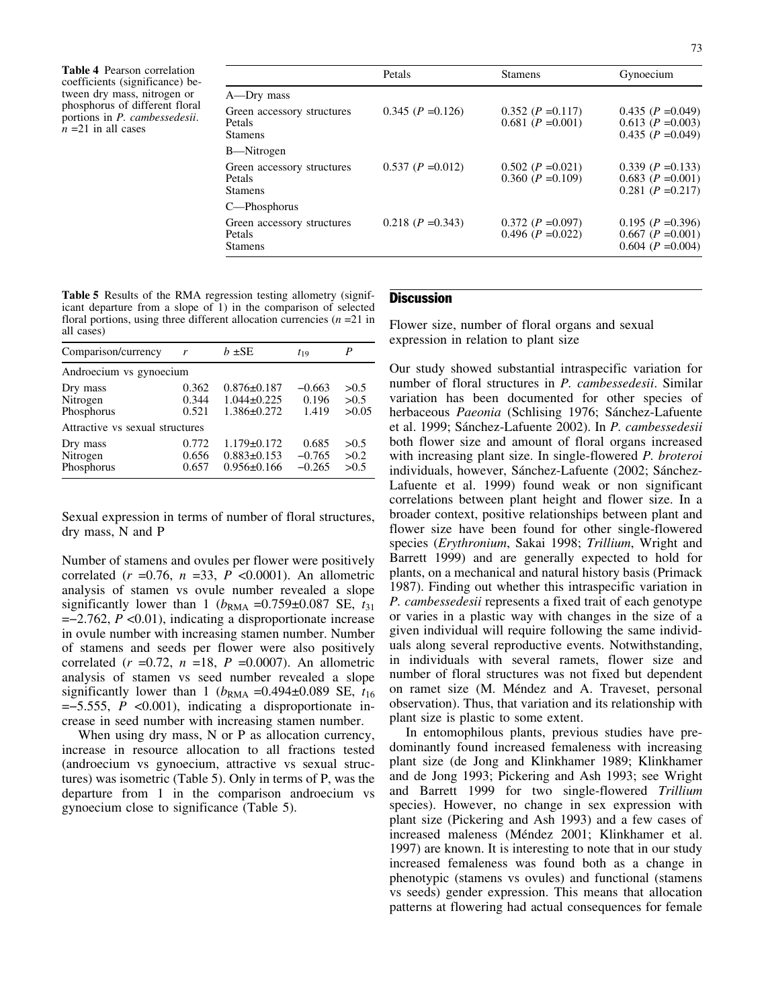|                                                        | Petals              | <b>Stamens</b>                                 | Gynoecium                                                         |
|--------------------------------------------------------|---------------------|------------------------------------------------|-------------------------------------------------------------------|
| A—Dry mass                                             |                     |                                                |                                                                   |
| Green accessory structures<br>Petals<br><b>Stamens</b> | $0.345$ (P = 0.126) | $0.352$ (P = 0.117)<br>$0.681$ (P = 0.001)     | $0.435$ (P = 0.049)<br>$0.613$ (P = 0.003)<br>$0.435$ (P = 0.049) |
| B—Nitrogen                                             |                     |                                                |                                                                   |
| Green accessory structures<br>Petals<br><b>Stamens</b> | $0.537 (P = 0.012)$ | $0.502$ (P = 0.021)<br>$0.360$ ( $P = 0.109$ ) | $0.339$ (P = 0.133)<br>$0.683$ (P = 0.001)<br>$0.281$ (P = 0.217) |
| C—Phosphorus                                           |                     |                                                |                                                                   |
| Green accessory structures<br>Petals<br><b>Stamens</b> | $0.218$ (P = 0.343) | $0.372(P=0.097)$<br>0.496 $(P = 0.022)$        | $0.195$ (P = 0.396)<br>$0.667$ (P = 0.001)<br>$0.604$ (P = 0.004) |

Table 5 Results of the RMA regression testing allometry (significant departure from a slope of 1) in the comparison of selected floral portions, using three different allocation currencies  $(n = 21$  in all cases)

| Comparison/currency                | r                       | $b \pm SE$                                                  | $t_{19}$                      | P                     |  |
|------------------------------------|-------------------------|-------------------------------------------------------------|-------------------------------|-----------------------|--|
| Androecium vs gynoecium            |                         |                                                             |                               |                       |  |
| Dry mass<br>Nitrogen<br>Phosphorus | 0.362<br>0.344<br>0.521 | $0.876 \pm 0.187$<br>$1.044 \pm 0.225$<br>$1.386 \pm 0.272$ | $-0.663$<br>0.196<br>1.419    | >0.5<br>>0.5<br>>0.05 |  |
| Attractive vs sexual structures    |                         |                                                             |                               |                       |  |
| Dry mass<br>Nitrogen<br>Phosphorus | 0.772<br>0.656<br>0.657 | $1.179 \pm 0.172$<br>$0.883 \pm 0.153$<br>$0.956 \pm 0.166$ | 0.685<br>$-0.765$<br>$-0.265$ | >0.5<br>>0.2<br>>0.5  |  |

Sexual expression in terms of number of floral structures, dry mass, N and P

Number of stamens and ovules per flower were positively correlated ( $r = 0.76$ ,  $n = 33$ ,  $P < 0.0001$ ). An allometric analysis of stamen vs ovule number revealed a slope significantly lower than 1 ( $b_{\text{RMA}}$  =0.759±0.087 SE,  $t_{31}$  $=-2.762, P < 0.01$ , indicating a disproportionate increase in ovule number with increasing stamen number. Number of stamens and seeds per flower were also positively correlated  $(r = 0.72, n = 18, P = 0.0007)$ . An allometric analysis of stamen vs seed number revealed a slope significantly lower than 1 ( $b_{\text{RMA}}$  =0.494±0.089 SE,  $t_{16}$  $=-5.555$ ,  $P < 0.001$ ), indicating a disproportionate increase in seed number with increasing stamen number.

When using dry mass, N or P as allocation currency, increase in resource allocation to all fractions tested (androecium vs gynoecium, attractive vs sexual structures) was isometric (Table 5). Only in terms of P, was the departure from 1 in the comparison androecium vs gynoecium close to significance (Table 5).

# **Discussion**

Flower size, number of floral organs and sexual expression in relation to plant size

Our study showed substantial intraspecific variation for number of floral structures in P. cambessedesii. Similar variation has been documented for other species of herbaceous Paeonia (Schlising 1976; Sánchez-Lafuente et al. 1999; Sánchez-Lafuente 2002). In P. cambessedesii both flower size and amount of floral organs increased with increasing plant size. In single-flowered *P. broteroi* individuals, however, Sánchez-Lafuente (2002; Sánchez-Lafuente et al. 1999) found weak or non significant correlations between plant height and flower size. In a broader context, positive relationships between plant and flower size have been found for other single-flowered species (Erythronium, Sakai 1998; Trillium, Wright and Barrett 1999) and are generally expected to hold for plants, on a mechanical and natural history basis (Primack 1987). Finding out whether this intraspecific variation in P. cambessedesii represents a fixed trait of each genotype or varies in a plastic way with changes in the size of a given individual will require following the same individuals along several reproductive events. Notwithstanding, in individuals with several ramets, flower size and number of floral structures was not fixed but dependent on ramet size (M. Méndez and A. Traveset, personal observation). Thus, that variation and its relationship with plant size is plastic to some extent.

In entomophilous plants, previous studies have predominantly found increased femaleness with increasing plant size (de Jong and Klinkhamer 1989; Klinkhamer and de Jong 1993; Pickering and Ash 1993; see Wright and Barrett 1999 for two single-flowered Trillium species). However, no change in sex expression with plant size (Pickering and Ash 1993) and a few cases of increased maleness (Méndez 2001; Klinkhamer et al. 1997) are known. It is interesting to note that in our study increased femaleness was found both as a change in phenotypic (stamens vs ovules) and functional (stamens vs seeds) gender expression. This means that allocation patterns at flowering had actual consequences for female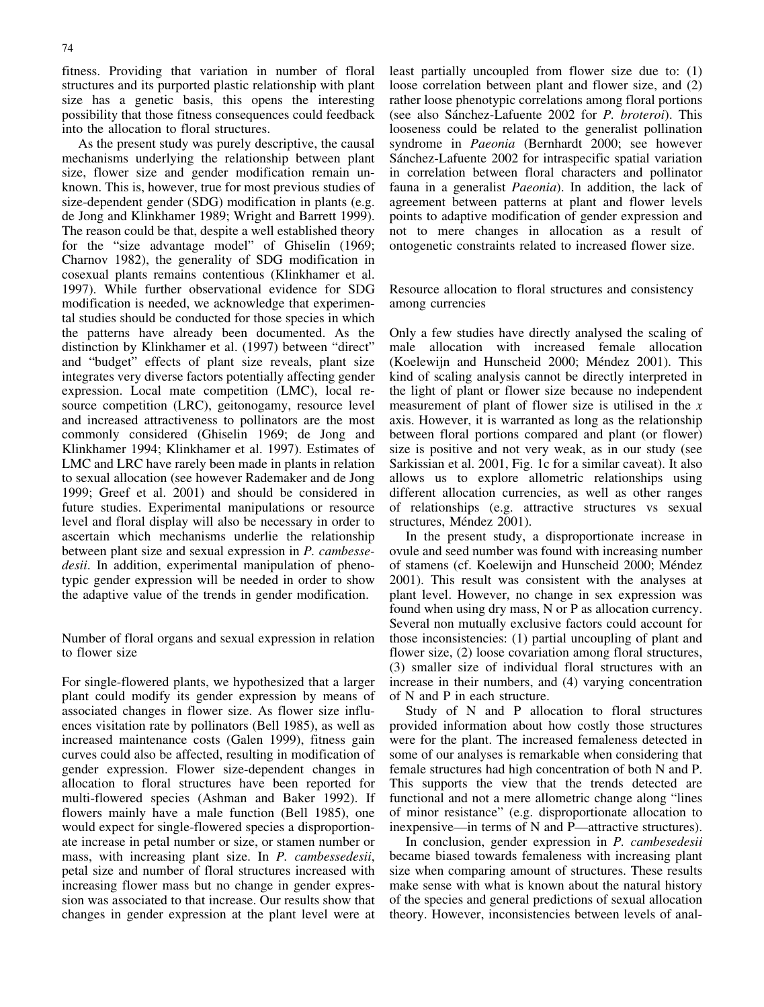fitness. Providing that variation in number of floral structures and its purported plastic relationship with plant size has a genetic basis, this opens the interesting possibility that those fitness consequences could feedback into the allocation to floral structures.

As the present study was purely descriptive, the causal mechanisms underlying the relationship between plant size, flower size and gender modification remain unknown. This is, however, true for most previous studies of size-dependent gender (SDG) modification in plants (e.g. de Jong and Klinkhamer 1989; Wright and Barrett 1999). The reason could be that, despite a well established theory for the "size advantage model" of Ghiselin (1969; Charnov 1982), the generality of SDG modification in cosexual plants remains contentious (Klinkhamer et al. 1997). While further observational evidence for SDG modification is needed, we acknowledge that experimental studies should be conducted for those species in which the patterns have already been documented. As the distinction by Klinkhamer et al. (1997) between "direct" and "budget" effects of plant size reveals, plant size integrates very diverse factors potentially affecting gender expression. Local mate competition (LMC), local resource competition (LRC), geitonogamy, resource level and increased attractiveness to pollinators are the most commonly considered (Ghiselin 1969; de Jong and Klinkhamer 1994; Klinkhamer et al. 1997). Estimates of LMC and LRC have rarely been made in plants in relation to sexual allocation (see however Rademaker and de Jong 1999; Greef et al. 2001) and should be considered in future studies. Experimental manipulations or resource level and floral display will also be necessary in order to ascertain which mechanisms underlie the relationship between plant size and sexual expression in P. cambessedesii. In addition, experimental manipulation of phenotypic gender expression will be needed in order to show the adaptive value of the trends in gender modification.

Number of floral organs and sexual expression in relation to flower size

For single-flowered plants, we hypothesized that a larger plant could modify its gender expression by means of associated changes in flower size. As flower size influences visitation rate by pollinators (Bell 1985), as well as increased maintenance costs (Galen 1999), fitness gain curves could also be affected, resulting in modification of gender expression. Flower size-dependent changes in allocation to floral structures have been reported for multi-flowered species (Ashman and Baker 1992). If flowers mainly have a male function (Bell 1985), one would expect for single-flowered species a disproportionate increase in petal number or size, or stamen number or mass, with increasing plant size. In P. cambessedesii, petal size and number of floral structures increased with increasing flower mass but no change in gender expression was associated to that increase. Our results show that changes in gender expression at the plant level were at least partially uncoupled from flower size due to: (1) loose correlation between plant and flower size, and (2) rather loose phenotypic correlations among floral portions (see also Sánchez-Lafuente 2002 for *P. broteroi*). This looseness could be related to the generalist pollination syndrome in Paeonia (Bernhardt 2000; see however Sánchez-Lafuente 2002 for intraspecific spatial variation in correlation between floral characters and pollinator fauna in a generalist *Paeonia*). In addition, the lack of agreement between patterns at plant and flower levels points to adaptive modification of gender expression and not to mere changes in allocation as a result of ontogenetic constraints related to increased flower size.

Resource allocation to floral structures and consistency among currencies

Only a few studies have directly analysed the scaling of male allocation with increased female allocation (Koelewijn and Hunscheid 2000; Méndez 2001). This kind of scaling analysis cannot be directly interpreted in the light of plant or flower size because no independent measurement of plant of flower size is utilised in the  $x$ axis. However, it is warranted as long as the relationship between floral portions compared and plant (or flower) size is positive and not very weak, as in our study (see Sarkissian et al. 2001, Fig. 1c for a similar caveat). It also allows us to explore allometric relationships using different allocation currencies, as well as other ranges of relationships (e.g. attractive structures vs sexual structures, Méndez 2001).

In the present study, a disproportionate increase in ovule and seed number was found with increasing number of stamens (cf. Koelewijn and Hunscheid 2000; Méndez 2001). This result was consistent with the analyses at plant level. However, no change in sex expression was found when using dry mass, N or P as allocation currency. Several non mutually exclusive factors could account for those inconsistencies: (1) partial uncoupling of plant and flower size, (2) loose covariation among floral structures, (3) smaller size of individual floral structures with an increase in their numbers, and (4) varying concentration of N and P in each structure.

Study of N and P allocation to floral structures provided information about how costly those structures were for the plant. The increased femaleness detected in some of our analyses is remarkable when considering that female structures had high concentration of both N and P. This supports the view that the trends detected are functional and not a mere allometric change along "lines of minor resistance" (e.g. disproportionate allocation to inexpensive—in terms of N and P—attractive structures).

In conclusion, gender expression in P. cambesedesii became biased towards femaleness with increasing plant size when comparing amount of structures. These results make sense with what is known about the natural history of the species and general predictions of sexual allocation theory. However, inconsistencies between levels of anal